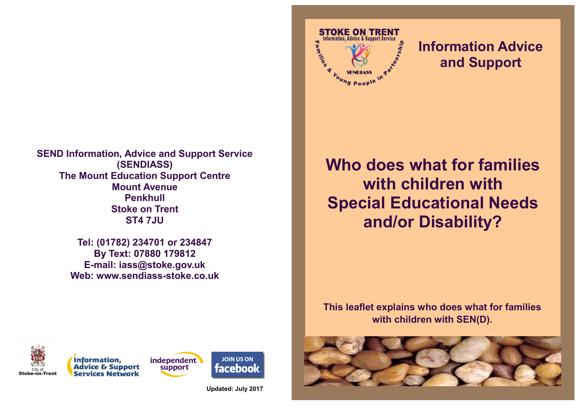**SEND Information, Advice and Support Service (SENDIASS) The Mount Education Support Centre Mount Avenue Penkhull Stoke on Trent ST4 7JU**

> **Tel: (01782) 234701 or 234847 By Text: 07880 179812 E-mail: iass@stoke.gov.uk Web: www.sendiass-stoke.co.uk**

**Who does what for families with children with Special Educational Needs and/or Disability?**

**STOKE ON TRENT** nformation. Advice & Support Service

oung People

**Michi** 

**Information Advice** 

**and Support**

**This leaflet explains who does what for families with children with SEN(D).**







**JOIN US ON facebook** 

**Updated: July 2017**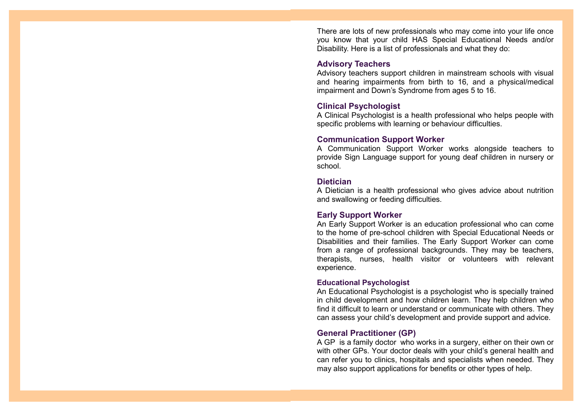There are lots of new professionals who may come into your life once you know that your child HAS Special Educational Needs and/or Disability. Here is a list of professionals and what they do:

#### **Advisory Teachers**

Advisory teachers support children in mainstream schools with visual and hearing impairments from birth to 16, and a physical/medical impairment and Down's Syndrome from ages 5 to 16.

#### **Clinical Psychologist**

A Clinical Psychologist is a health professional who helps people with specific problems with learning or behaviour difficulties.

#### **Communication Support Worker**

A Communication Support Worker works alongside teachers to provide Sign Language support for young deaf children in nursery or school.

# **Dietician**

A Dietician is a health professional who gives advice about nutrition and swallowing or feeding difficulties.

# **Early Support Worker**

An Early Support Worker is an education professional who can come to the home of pre-school children with Special Educational Needs or Disabilities and their families. The Early Support Worker can come from a range of professional backgrounds. They may be teachers, therapists, nurses, health visitor or volunteers with relevant experience.

#### **Educational Psychologist**

An Educational Psychologist is a psychologist who is specially trained in child development and how children learn. They help children who find it difficult to learn or understand or communicate with others. They can assess your child's development and provide support and advice.

# **General Practitioner (GP)**

A GP is a family doctor who works in a surgery, either on their own or with other GPs. Your doctor deals with your child's general health and can refer you to clinics, hospitals and specialists when needed. They may also support applications for benefits or other types of help.